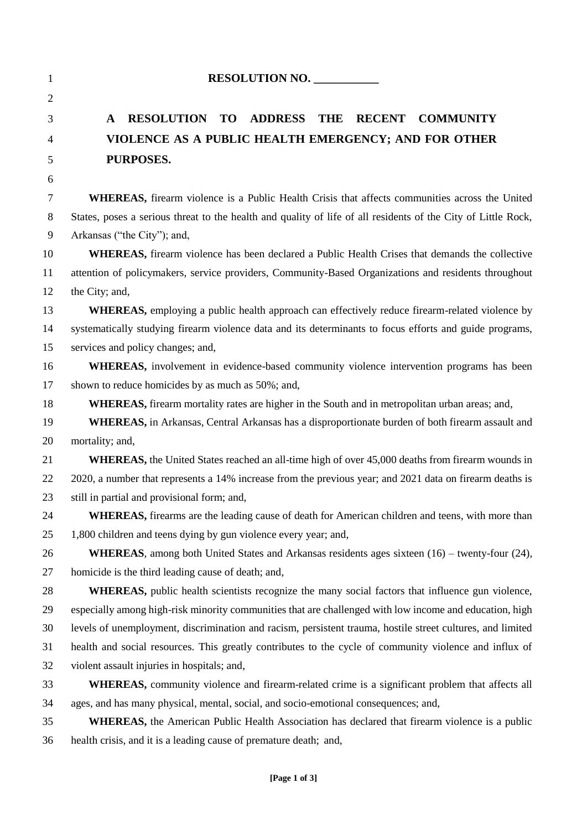| $\mathbf{1}$ | RESOLUTION NO.                                                                                                |  |  |
|--------------|---------------------------------------------------------------------------------------------------------------|--|--|
| 2            |                                                                                                               |  |  |
| 3            | <b>RESOLUTION TO</b><br><b>ADDRESS THE</b><br><b>RECENT</b><br><b>COMMUNITY</b><br>A                          |  |  |
| 4            | VIOLENCE AS A PUBLIC HEALTH EMERGENCY; AND FOR OTHER                                                          |  |  |
| 5            | PURPOSES.                                                                                                     |  |  |
| 6            |                                                                                                               |  |  |
| 7            | <b>WHEREAS</b> , firearm violence is a Public Health Crisis that affects communities across the United        |  |  |
| 8            | States, poses a serious threat to the health and quality of life of all residents of the City of Little Rock, |  |  |
| 9            | Arkansas ("the City"); and,                                                                                   |  |  |
| 10           | WHEREAS, firearm violence has been declared a Public Health Crises that demands the collective                |  |  |
| 11           | attention of policymakers, service providers, Community-Based Organizations and residents throughout          |  |  |
| 12           | the City; and,                                                                                                |  |  |
| 13           | WHEREAS, employing a public health approach can effectively reduce firearm-related violence by                |  |  |
| 14           | systematically studying firearm violence data and its determinants to focus efforts and guide programs,       |  |  |
| 15           | services and policy changes; and,                                                                             |  |  |
| 16           | <b>WHEREAS</b> , involvement in evidence-based community violence intervention programs has been              |  |  |
| 17           | shown to reduce homicides by as much as 50%; and,                                                             |  |  |
| 18           | WHEREAS, firearm mortality rates are higher in the South and in metropolitan urban areas; and,                |  |  |
| 19           | WHEREAS, in Arkansas, Central Arkansas has a disproportionate burden of both firearm assault and              |  |  |
| 20           | mortality; and,                                                                                               |  |  |
| 21           | <b>WHEREAS</b> , the United States reached an all-time high of over 45,000 deaths from firearm wounds in      |  |  |
| 22           | 2020, a number that represents a 14% increase from the previous year; and 2021 data on firearm deaths is      |  |  |
| 23           | still in partial and provisional form; and,                                                                   |  |  |
| 24           | <b>WHEREAS</b> , firearms are the leading cause of death for American children and teens, with more than      |  |  |
| 25           | 1,800 children and teens dying by gun violence every year; and,                                               |  |  |
| 26           | WHEREAS, among both United States and Arkansas residents ages sixteen (16) – twenty-four (24),                |  |  |
| 27           | homicide is the third leading cause of death; and,                                                            |  |  |
| 28           | <b>WHEREAS</b> , public health scientists recognize the many social factors that influence gun violence,      |  |  |
| 29           | especially among high-risk minority communities that are challenged with low income and education, high       |  |  |
| 30           | levels of unemployment, discrimination and racism, persistent trauma, hostile street cultures, and limited    |  |  |
| 31           | health and social resources. This greatly contributes to the cycle of community violence and influx of        |  |  |
| 32           | violent assault injuries in hospitals; and,                                                                   |  |  |
| 33           | WHEREAS, community violence and firearm-related crime is a significant problem that affects all               |  |  |
| 34           | ages, and has many physical, mental, social, and socio-emotional consequences; and,                           |  |  |
| 35           | <b>WHEREAS</b> , the American Public Health Association has declared that firearm violence is a public        |  |  |
| 36           | health crisis, and it is a leading cause of premature death; and,                                             |  |  |
|              |                                                                                                               |  |  |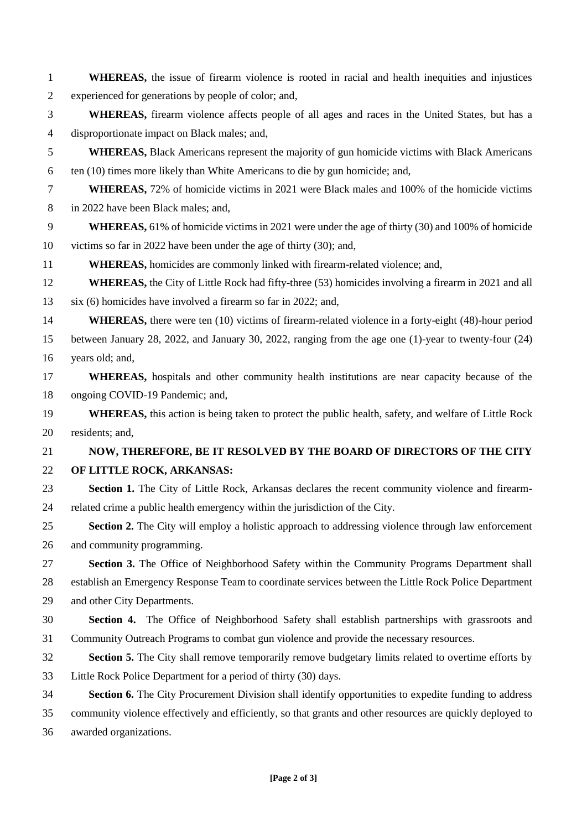| $\mathbf{1}$   | <b>WHEREAS</b> , the issue of firearm violence is rooted in racial and health inequities and injustices      |
|----------------|--------------------------------------------------------------------------------------------------------------|
| $\overline{2}$ | experienced for generations by people of color; and,                                                         |
| 3              | WHEREAS, firearm violence affects people of all ages and races in the United States, but has a               |
| $\overline{4}$ | disproportionate impact on Black males; and,                                                                 |
| 5              | <b>WHEREAS, Black Americans represent the majority of gun homicide victims with Black Americans</b>          |
| 6              | ten (10) times more likely than White Americans to die by gun homicide; and,                                 |
| $\tau$         | <b>WHEREAS,</b> 72% of homicide victims in 2021 were Black males and 100% of the homicide victims            |
| 8              | in 2022 have been Black males; and,                                                                          |
| 9              | <b>WHEREAS,</b> 61% of homicide victims in 2021 were under the age of thirty (30) and 100% of homicide       |
| 10             | victims so far in 2022 have been under the age of thirty (30); and,                                          |
| 11             | WHEREAS, homicides are commonly linked with firearm-related violence; and,                                   |
| 12             | <b>WHEREAS,</b> the City of Little Rock had fifty-three (53) homicides involving a firearm in 2021 and all   |
| 13             | six (6) homicides have involved a firearm so far in 2022; and,                                               |
| 14             | <b>WHEREAS</b> , there were ten (10) victims of firearm-related violence in a forty-eight (48)-hour period   |
| 15             | between January 28, 2022, and January 30, 2022, ranging from the age one (1)-year to twenty-four (24)        |
| 16             | years old; and,                                                                                              |
| 17             | WHEREAS, hospitals and other community health institutions are near capacity because of the                  |
| 18             | ongoing COVID-19 Pandemic; and,                                                                              |
| 19             | <b>WHEREAS</b> , this action is being taken to protect the public health, safety, and welfare of Little Rock |
| 20             | residents; and,                                                                                              |
| 21             | NOW, THEREFORE, BE IT RESOLVED BY THE BOARD OF DIRECTORS OF THE CITY                                         |
| 22             | OF LITTLE ROCK, ARKANSAS:                                                                                    |
| 23             | Section 1. The City of Little Rock, Arkansas declares the recent community violence and firearm-             |
| 24             | related crime a public health emergency within the jurisdiction of the City.                                 |
| 25             | <b>Section 2.</b> The City will employ a holistic approach to addressing violence through law enforcement    |
| 26             | and community programming.                                                                                   |
| 27             | Section 3. The Office of Neighborhood Safety within the Community Programs Department shall                  |
| 28             | establish an Emergency Response Team to coordinate services between the Little Rock Police Department        |
| 29             | and other City Departments.                                                                                  |
| 30             | <b>Section 4.</b> The Office of Neighborhood Safety shall establish partnerships with grassroots and         |
| 31             | Community Outreach Programs to combat gun violence and provide the necessary resources.                      |
| 32             | <b>Section 5.</b> The City shall remove temporarily remove budgetary limits related to overtime efforts by   |
| 33             | Little Rock Police Department for a period of thirty (30) days.                                              |
| 34             | Section 6. The City Procurement Division shall identify opportunities to expedite funding to address         |
| 35             | community violence effectively and efficiently, so that grants and other resources are quickly deployed to   |
| 36             | awarded organizations.                                                                                       |